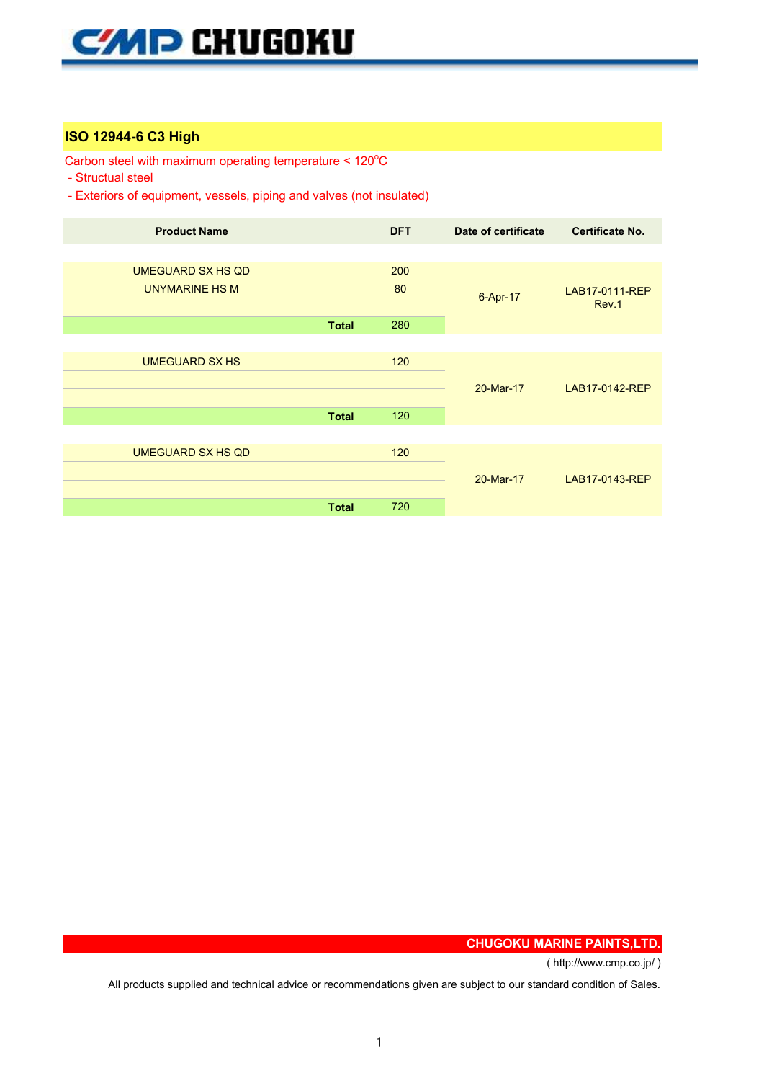## **ISO 12944-6 C3 High**

Carbon steel with maximum operating temperature < 120°C

- Structual steel

- Exteriors of equipment, vessels, piping and valves (not insulated)

| <b>Product Name</b>      |              | <b>DFT</b> | Date of certificate | <b>Certificate No.</b>  |
|--------------------------|--------------|------------|---------------------|-------------------------|
|                          |              |            |                     |                         |
| <b>UMEGUARD SX HS QD</b> |              | 200        | 6-Apr-17            | LAB17-0111-REP<br>Rev.1 |
| <b>UNYMARINE HS M</b>    |              | 80         |                     |                         |
|                          |              |            |                     |                         |
|                          | <b>Total</b> | 280        |                     |                         |
|                          |              |            |                     |                         |
| <b>UMEGUARD SX HS</b>    |              | 120        | 20-Mar-17           | LAB17-0142-REP          |
|                          |              |            |                     |                         |
|                          |              |            |                     |                         |
|                          | <b>Total</b> | 120        |                     |                         |
|                          |              |            |                     |                         |
| <b>UMEGUARD SX HS QD</b> |              | 120        | 20-Mar-17           | LAB17-0143-REP          |
|                          |              |            |                     |                         |
|                          |              |            |                     |                         |
|                          | <b>Total</b> | 720        |                     |                         |

**CHUGOKU MARINE PAINTS,LTD.**

( http://www.cmp.co.jp/ )

All products supplied and technical advice or recommendations given are subject to our standard condition of Sales.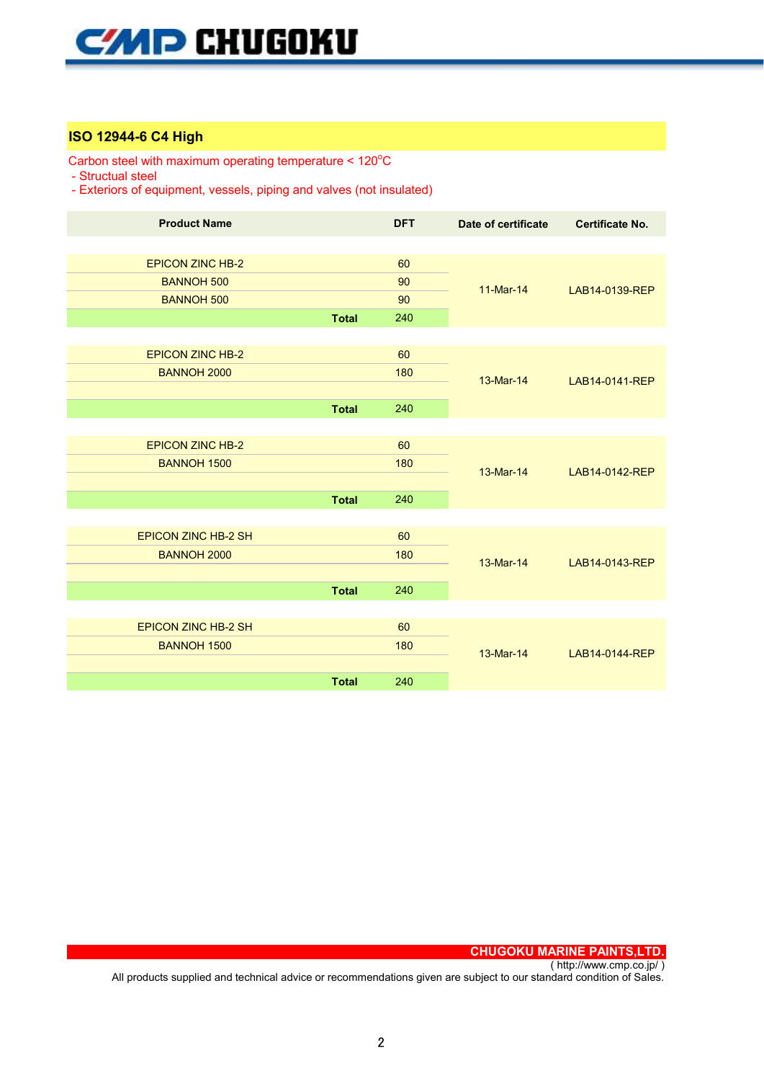## **ISO 12944-6 C4 High**

Carbon steel with maximum operating temperature < 120°C

- Structual steel

- Exteriors of equipment, vessels, piping and valves (not insulated)

| <b>Product Name</b>        |              | <b>DFT</b> | Date of certificate | <b>Certificate No.</b> |
|----------------------------|--------------|------------|---------------------|------------------------|
|                            |              |            |                     |                        |
| <b>EPICON ZINC HB-2</b>    |              | 60         | 11-Mar-14           | LAB14-0139-REP         |
| <b>BANNOH 500</b>          |              | 90         |                     |                        |
| <b>BANNOH 500</b>          |              | 90         |                     |                        |
|                            | <b>Total</b> | 240        |                     |                        |
|                            |              |            |                     |                        |
| <b>EPICON ZINC HB-2</b>    |              | 60         | 13-Mar-14           | LAB14-0141-REP         |
| <b>BANNOH 2000</b>         |              | 180        |                     |                        |
|                            |              |            |                     |                        |
|                            | <b>Total</b> | 240        |                     |                        |
|                            |              |            |                     |                        |
| <b>EPICON ZINC HB-2</b>    |              | 60         |                     | LAB14-0142-REP         |
| <b>BANNOH 1500</b>         |              | 180        | 13-Mar-14           |                        |
|                            |              |            |                     |                        |
|                            | <b>Total</b> | 240        |                     |                        |
|                            |              |            |                     |                        |
| <b>EPICON ZINC HB-2 SH</b> |              | 60         |                     | LAB14-0143-REP         |
| <b>BANNOH 2000</b>         |              | 180        | 13-Mar-14           |                        |
|                            |              |            |                     |                        |
|                            | <b>Total</b> | 240        |                     |                        |
|                            |              |            |                     |                        |
| <b>EPICON ZINC HB-2 SH</b> |              | 60         | 13-Mar-14           | LAB14-0144-REP         |
| <b>BANNOH 1500</b>         |              | 180        |                     |                        |
|                            |              |            |                     |                        |
|                            | <b>Total</b> | 240        |                     |                        |
|                            |              |            |                     |                        |

**CHUGOKU MARINE PAINTS,LTD.**

( http://www.cmp.co.jp/ ) All products supplied and technical advice or recommendations given are subject to our standard condition of Sales.